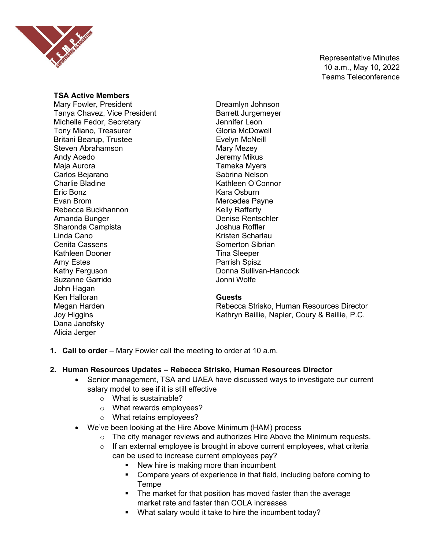

Representative Minutes 10 a.m., May 10, 2022 Teams Teleconference

#### **TSA Active Members**

Mary Fowler, President Tanya Chavez, Vice President Michelle Fedor, Secretary Tony Miano, Treasurer Britani Bearup, Trustee Steven Abrahamson Andy Acedo Maja Aurora Carlos Bejarano Charlie Bladine Eric Bonz Evan Brom Rebecca Buckhannon Amanda Bunger Sharonda Campista Linda Cano Cenita Cassens Kathleen Dooner Amy Estes Kathy Ferguson Suzanne Garrido John Hagan Ken Halloran Megan Harden Joy Higgins Dana Janofsky Alicia Jerger

Dreamlyn Johnson Barrett Jurgemeyer Jennifer Leon Gloria McDowell Evelyn McNeill Mary Mezey Jeremy Mikus Tameka Myers Sabrina Nelson Kathleen O'Connor Kara Osburn Mercedes Payne Kelly Rafferty Denise Rentschler Joshua Roffler Kristen Scharlau Somerton Sibrian Tina Sleeper Parrish Spisz Donna Sullivan-Hancock Jonni Wolfe

#### **Guests**

Rebecca Strisko, Human Resources Director Kathryn Baillie, Napier, Coury & Baillie, P.C.

**1. Call to order** – Mary Fowler call the meeting to order at 10 a.m.

# **2. Human Resources Updates – Rebecca Strisko, Human Resources Director**

- Senior management, TSA and UAEA have discussed ways to investigate our current salary model to see if it is still effective
	- o What is sustainable?
	- o What rewards employees?
	- o What retains employees?
- We've been looking at the Hire Above Minimum (HAM) process
	- $\circ$  The city manager reviews and authorizes Hire Above the Minimum requests.
	- $\circ$  If an external employee is brought in above current employees, what criteria can be used to increase current employees pay?
		- New hire is making more than incumbent
		- **Compare years of experience in that field, including before coming to** Tempe
		- **The market for that position has moved faster than the average** market rate and faster than COLA increases
		- What salary would it take to hire the incumbent today?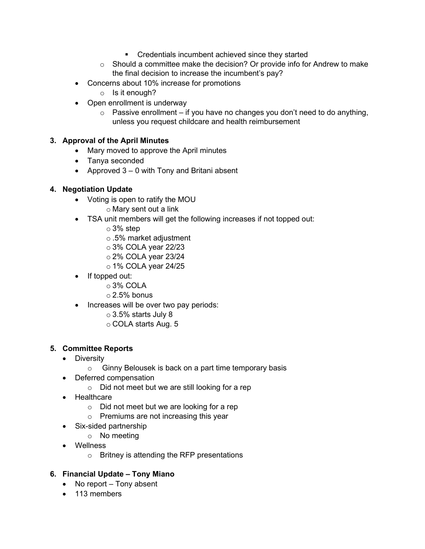- **EXECTE Credentials incumbent achieved since they started**
- $\circ$  Should a committee make the decision? Or provide info for Andrew to make the final decision to increase the incumbent's pay?
- Concerns about 10% increase for promotions
	- o Is it enough?
- Open enrollment is underway
	- $\circ$  Passive enrollment if you have no changes you don't need to do anything, unless you request childcare and health reimbursement

# **3. Approval of the April Minutes**

- Mary moved to approve the April minutes
- Tanya seconded
- Approved  $3 0$  with Tony and Britani absent

# **4. Negotiation Update**

- Voting is open to ratify the MOU
	- o Mary sent out a link
- TSA unit members will get the following increases if not topped out:
	- o 3% step
	- o .5% market adjustment
	- o 3% COLA year 22/23
	- $\circ$  2% COLA year 23/24
	- o 1% COLA year 24/25
- If topped out:
	- o 3% COLA
	- $\circ$  2.5% bonus
- Increases will be over two pay periods:
	- $\circ$  3.5% starts July 8
	- o COLA starts Aug. 5

# **5. Committee Reports**

- Diversity
	- o Ginny Belousek is back on a part time temporary basis
- Deferred compensation
	- o Did not meet but we are still looking for a rep
- Healthcare
	- o Did not meet but we are looking for a rep
	- o Premiums are not increasing this year
- Six-sided partnership
	- o No meeting
- Wellness
	- o Britney is attending the RFP presentations

# **6. Financial Update – Tony Miano**

- No report Tony absent
- 113 members